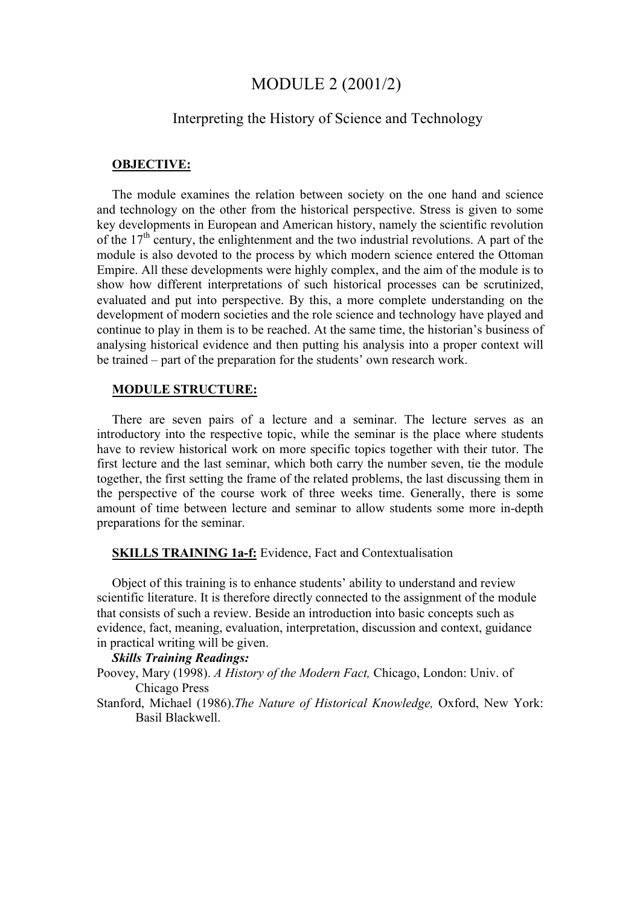# MODULE 2 (2001/2)

# Interpreting the History of Science and Technology

#### **OBJECTIVE:**

The module examines the relation between society on the one hand and science and technology on the other from the historical perspective. Stress is given to some key developments in European and American history, namely the scientific revolution of the  $17<sup>th</sup>$  century, the enlightenment and the two industrial revolutions. A part of the module is also devoted to the process by which modern science entered the Ottoman Empire. All these developments were highly complex, and the aim of the module is to show how different interpretations of such historical processes can be scrutinized, evaluated and put into perspective. By this, a more complete understanding on the development of modern societies and the role science and technology have played and continue to play in them is to be reached. At the same time, the historian's business of analysing historical evidence and then putting his analysis into a proper context will be trained – part of the preparation for the students' own research work.

#### **MODULE STRUCTURE:**

There are seven pairs of a lecture and a seminar. The lecture serves as an introductory into the respective topic, while the seminar is the place where students have to review historical work on more specific topics together with their tutor. The first lecture and the last seminar, which both carry the number seven, tie the module together, the first setting the frame of the related problems, the last discussing them in the perspective of the course work of three weeks time. Generally, there is some amount of time between lecture and seminar to allow students some more in-depth preparations for the seminar.

### **SKILLS TRAINING 1a-f:** Evidence, Fact and Contextualisation

Object of this training is to enhance students' ability to understand and review scientific literature. It is therefore directly connected to the assignment of the module that consists of such a review. Beside an introduction into basic concepts such as evidence, fact, meaning, evaluation, interpretation, discussion and context, guidance in practical writing will be given.

## *Skills Training Readings:*

- Poovey, Mary (1998). *A History of the Modern Fact,* Chicago, London: Univ. of Chicago Press
- Stanford, Michael (1986).*The Nature of Historical Knowledge,* Oxford, New York: Basil Blackwell.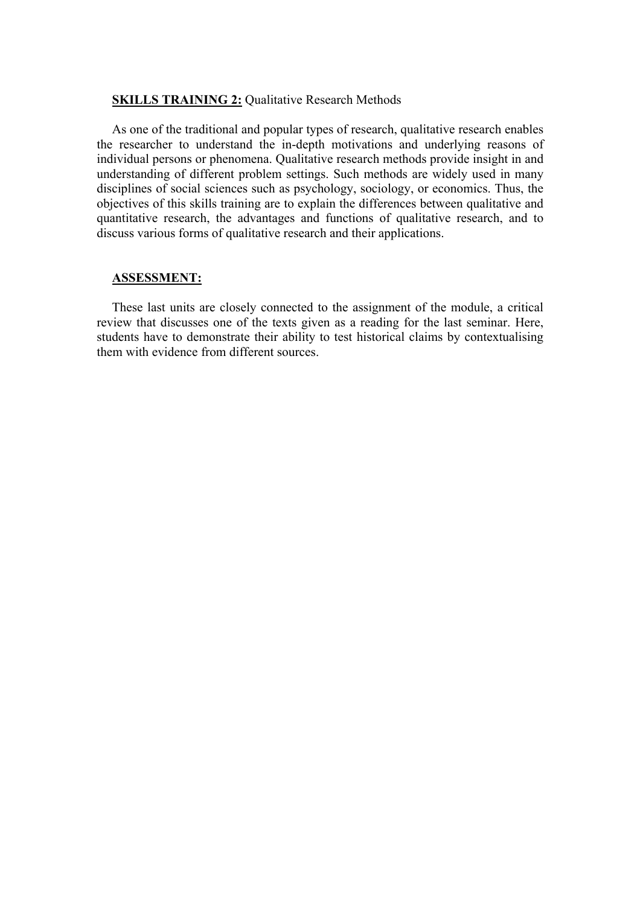#### **SKILLS TRAINING 2: Qualitative Research Methods**

As one of the traditional and popular types of research, qualitative research enables the researcher to understand the in-depth motivations and underlying reasons of individual persons or phenomena. Qualitative research methods provide insight in and understanding of different problem settings. Such methods are widely used in many disciplines of social sciences such as psychology, sociology, or economics. Thus, the objectives of this skills training are to explain the differences between qualitative and quantitative research, the advantages and functions of qualitative research, and to discuss various forms of qualitative research and their applications.

#### **ASSESSMENT:**

These last units are closely connected to the assignment of the module, a critical review that discusses one of the texts given as a reading for the last seminar. Here, students have to demonstrate their ability to test historical claims by contextualising them with evidence from different sources.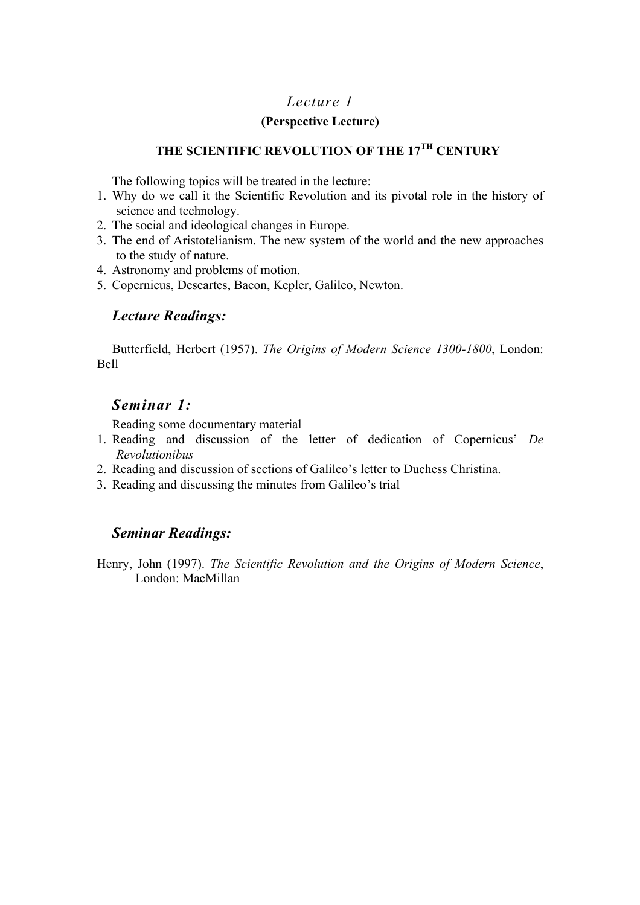# **(Perspective Lecture)**

# **THE SCIENTIFIC REVOLUTION OF THE 17TH CENTURY**

The following topics will be treated in the lecture:

- 1. Why do we call it the Scientific Revolution and its pivotal role in the history of science and technology.
- 2. The social and ideological changes in Europe.
- 3. The end of Aristotelianism. The new system of the world and the new approaches to the study of nature.
- 4. Astronomy and problems of motion.
- 5. Copernicus, Descartes, Bacon, Kepler, Galileo, Newton.

# *Lecture Readings:*

Butterfield, Herbert (1957). *The Origins of Modern Science 1300-1800*, London: Bell

# *Seminar 1:*

Reading some documentary material

- 1. Reading and discussion of the letter of dedication of Copernicus' *De Revolutionibus*
- 2. Reading and discussion of sections of Galileo's letter to Duchess Christina.
- 3. Reading and discussing the minutes from Galileo's trial

# *Seminar Readings:*

Henry, John (1997). *The Scientific Revolution and the Origins of Modern Science*, London: MacMillan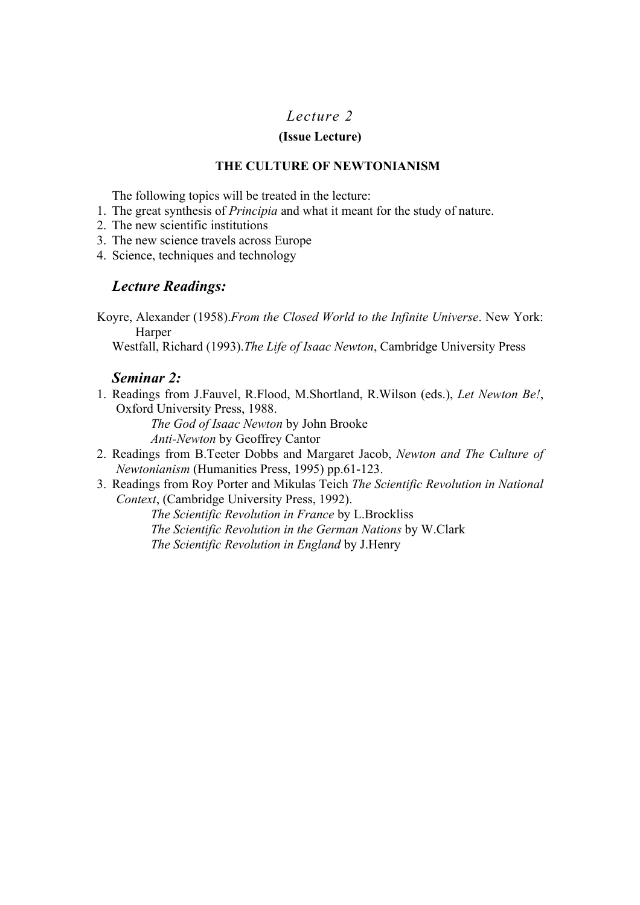## **(Issue Lecture)**

## **THE CULTURE OF NEWTONIANISM**

The following topics will be treated in the lecture:

- 1. The great synthesis of *Principia* and what it meant for the study of nature.
- 2. The new scientific institutions
- 3. The new science travels across Europe
- 4. Science, techniques and technology

# *Lecture Readings:*

Koyre, Alexander (1958).*From the Closed World to the Infinite Universe*. New York: Harper

Westfall, Richard (1993).*The Life of Isaac Newton*, Cambridge University Press

# *Seminar 2:*

1. Readings from J.Fauvel, R.Flood, M.Shortland, R.Wilson (eds.), *Let Newton Be!*, Oxford University Press, 1988.

*The God of Isaac Newton* by John Brooke *Anti-Newton* by Geoffrey Cantor

- 2. Readings from B.Teeter Dobbs and Margaret Jacob, *Newton and The Culture of Newtonianism* (Humanities Press, 1995) pp.61-123.
- 3. Readings from Roy Porter and Mikulas Teich *The Scientific Revolution in National Context*, (Cambridge University Press, 1992).

*The Scientific Revolution in France* by L.Brockliss *The Scientific Revolution in the German Nations* by W.Clark *The Scientific Revolution in England* by J.Henry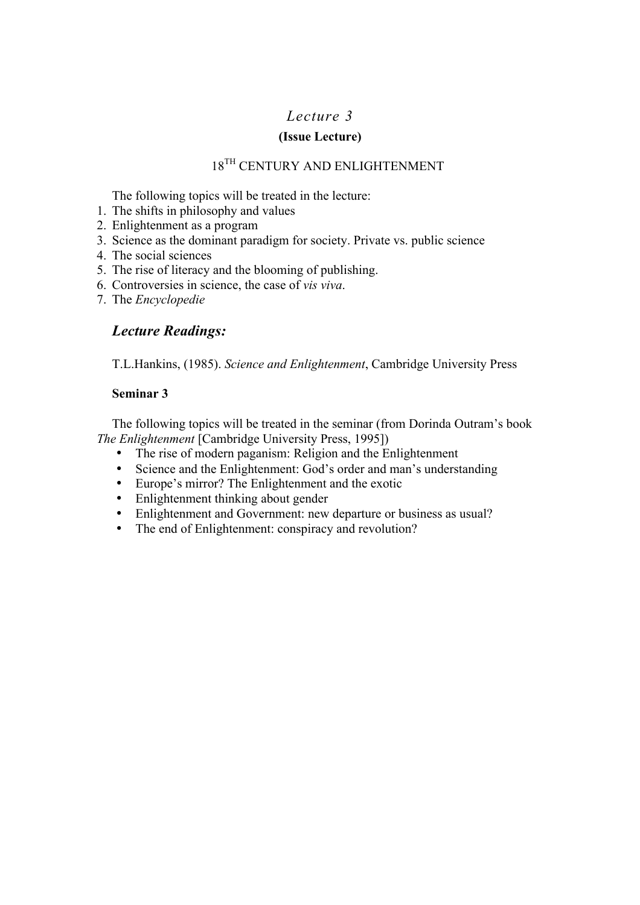# **(Issue Lecture)**

# $18^{\mathrm{TH}}$  CENTURY AND ENLIGHTENMENT

The following topics will be treated in the lecture:

- 1. The shifts in philosophy and values
- 2. Enlightenment as a program
- 3. Science as the dominant paradigm for society. Private vs. public science
- 4. The social sciences
- 5. The rise of literacy and the blooming of publishing.
- 6. Controversies in science, the case of *vis viva*.
- 7. The *Encyclopedie*

# *Lecture Readings:*

T.L.Hankins, (1985). *Science and Enlightenment*, Cambridge University Press

# **Seminar 3**

The following topics will be treated in the seminar (from Dorinda Outram's book *The Enlightenment* [Cambridge University Press, 1995])

- The rise of modern paganism: Religion and the Enlightenment
- Science and the Enlightenment: God's order and man's understanding
- Europe's mirror? The Enlightenment and the exotic
- Enlightenment thinking about gender<br>• Enlightenment and Government: new
- Enlightenment and Government: new departure or business as usual?
- The end of Enlightenment: conspiracy and revolution?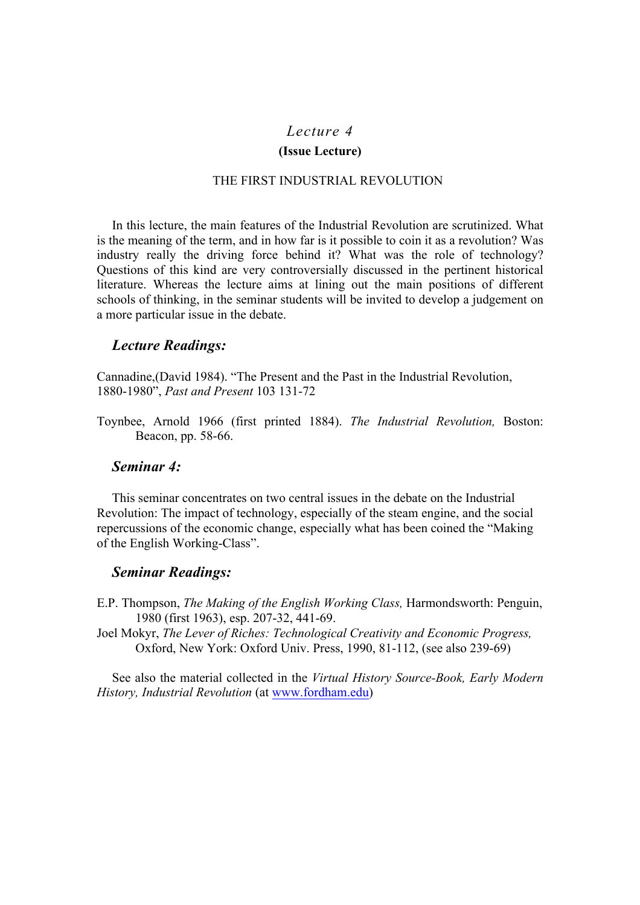#### **(Issue Lecture)**

#### THE FIRST INDUSTRIAL REVOLUTION

In this lecture, the main features of the Industrial Revolution are scrutinized. What is the meaning of the term, and in how far is it possible to coin it as a revolution? Was industry really the driving force behind it? What was the role of technology? Questions of this kind are very controversially discussed in the pertinent historical literature. Whereas the lecture aims at lining out the main positions of different schools of thinking, in the seminar students will be invited to develop a judgement on a more particular issue in the debate.

## *Lecture Readings:*

Cannadine,(David 1984). "The Present and the Past in the Industrial Revolution, 1880-1980", *Past and Present* 103 131-72

Toynbee, Arnold 1966 (first printed 1884). *The Industrial Revolution,* Boston: Beacon, pp. 58-66.

# *Seminar 4:*

This seminar concentrates on two central issues in the debate on the Industrial Revolution: The impact of technology, especially of the steam engine, and the social repercussions of the economic change, especially what has been coined the "Making of the English Working-Class".

## *Seminar Readings:*

- E.P. Thompson, *The Making of the English Working Class,* Harmondsworth: Penguin, 1980 (first 1963), esp. 207-32, 441-69.
- Joel Mokyr, *The Lever of Riches: Technological Creativity and Economic Progress,* Oxford, New York: Oxford Univ. Press, 1990, 81-112, (see also 239-69)

See also the material collected in the *Virtual History Source-Book, Early Modern History, Industrial Revolution* (at www.fordham.edu)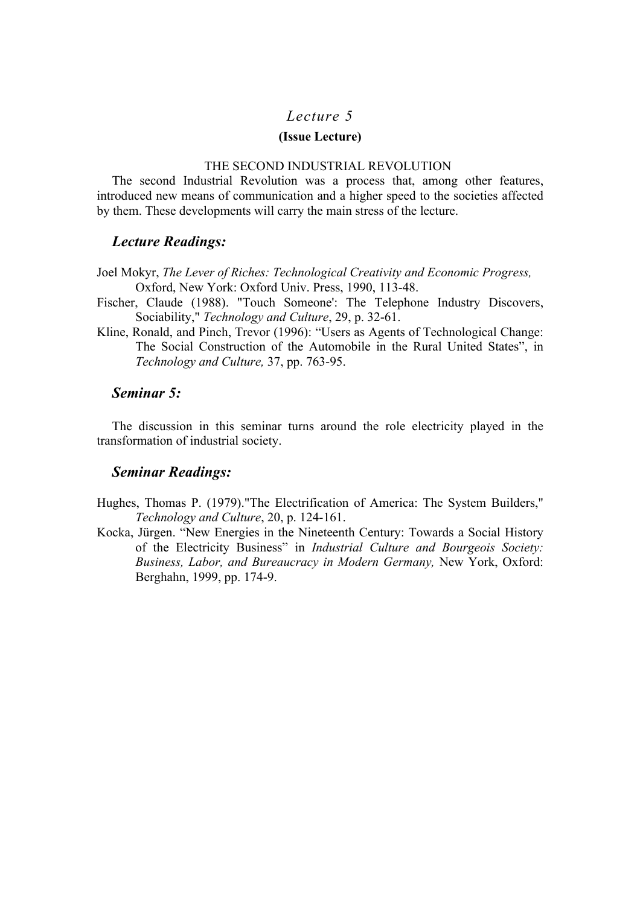#### **(Issue Lecture)**

#### THE SECOND INDUSTRIAL REVOLUTION

The second Industrial Revolution was a process that, among other features, introduced new means of communication and a higher speed to the societies affected by them. These developments will carry the main stress of the lecture.

## *Lecture Readings:*

Joel Mokyr, *The Lever of Riches: Technological Creativity and Economic Progress,* Oxford, New York: Oxford Univ. Press, 1990, 113-48.

- Fischer, Claude (1988). "Touch Someone': The Telephone Industry Discovers, Sociability," *Technology and Culture*, 29, p. 32-61.
- Kline, Ronald, and Pinch, Trevor (1996): "Users as Agents of Technological Change: The Social Construction of the Automobile in the Rural United States", in *Technology and Culture,* 37, pp. 763-95.

## *Seminar 5:*

The discussion in this seminar turns around the role electricity played in the transformation of industrial society.

### *Seminar Readings:*

- Hughes, Thomas P. (1979)."The Electrification of America: The System Builders," *Technology and Culture*, 20, p. 124-161.
- Kocka, Jürgen. "New Energies in the Nineteenth Century: Towards a Social History of the Electricity Business" in *Industrial Culture and Bourgeois Society: Business, Labor, and Bureaucracy in Modern Germany,* New York, Oxford: Berghahn, 1999, pp. 174-9.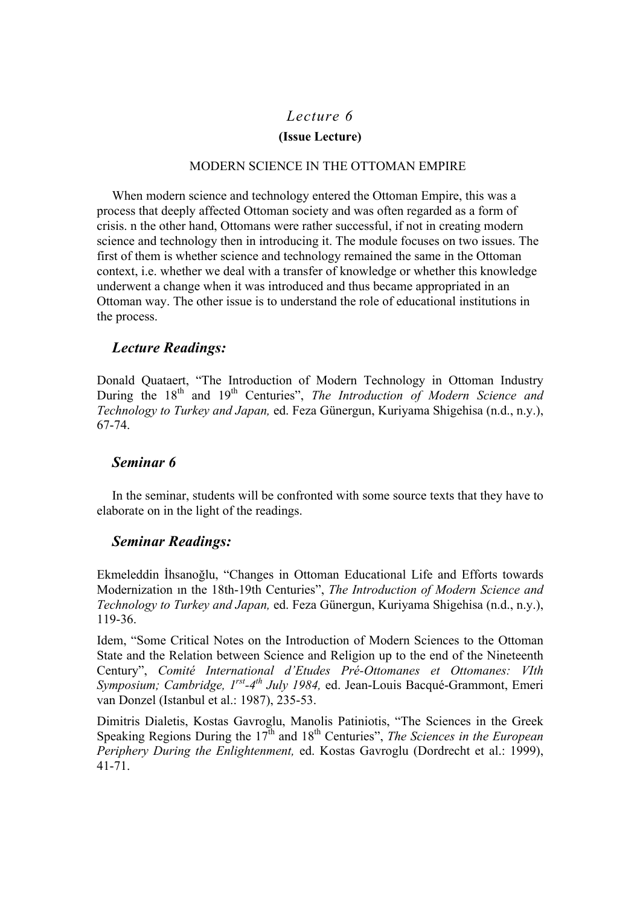# *Lecture 6*  **(Issue Lecture)**

### MODERN SCIENCE IN THE OTTOMAN EMPIRE

When modern science and technology entered the Ottoman Empire, this was a process that deeply affected Ottoman society and was often regarded as a form of crisis. n the other hand, Ottomans were rather successful, if not in creating modern science and technology then in introducing it. The module focuses on two issues. The first of them is whether science and technology remained the same in the Ottoman context, i.e. whether we deal with a transfer of knowledge or whether this knowledge underwent a change when it was introduced and thus became appropriated in an Ottoman way. The other issue is to understand the role of educational institutions in the process.

# *Lecture Readings:*

Donald Quataert, "The Introduction of Modern Technology in Ottoman Industry During the 18<sup>th</sup> and 19<sup>th</sup> Centuries", *The Introduction of Modern Science and Technology to Turkey and Japan,* ed. Feza Günergun, Kuriyama Shigehisa (n.d., n.y.), 67-74.

# *Seminar 6*

In the seminar, students will be confronted with some source texts that they have to elaborate on in the light of the readings.

# *Seminar Readings:*

Ekmeleddin İhsanoğlu, "Changes in Ottoman Educational Life and Efforts towards Modernization ın the 18th-19th Centuries", *The Introduction of Modern Science and Technology to Turkey and Japan,* ed. Feza Günergun, Kuriyama Shigehisa (n.d., n.y.), 119-36.

Idem, "Some Critical Notes on the Introduction of Modern Sciences to the Ottoman State and the Relation between Science and Religion up to the end of the Nineteenth Century", *Comité International d'Etudes Pré-Ottomanes et Ottomanes: VIth Symposium; Cambridge, 1rst-4th July 1984,* ed. Jean-Louis Bacqué-Grammont, Emeri van Donzel (Istanbul et al.: 1987), 235-53.

Dimitris Dialetis, Kostas Gavroglu, Manolis Patiniotis, "The Sciences in the Greek Speaking Regions During the 17<sup>th</sup> and 18<sup>th</sup> Centuries", *The Sciences in the European Periphery During the Enlightenment,* ed. Kostas Gavroglu (Dordrecht et al.: 1999), 41-71.